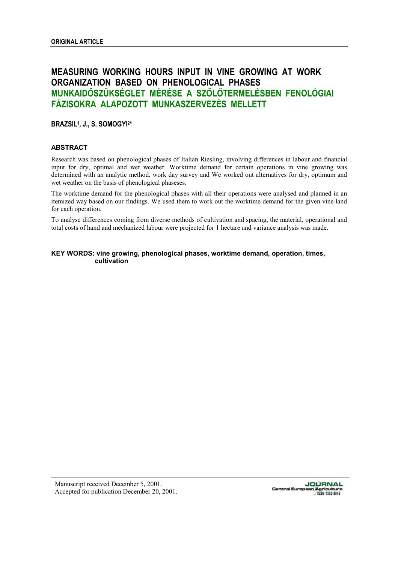# **MEASURING WORKING HOURS INPUT IN VINE GROWING AT WORK ORGANIZATION BASED ON PHENOLOGICAL PHASES MUNKAIDŐSZÜKSÉGLET MÉRÉSE A SZŐLŐTERMELÉSBEN FENOLÓGIAI FÁZISOKRA ALAPOZOTT MUNKASZERVEZÉS MELLETT**

## **BRAZSIL1, J., S. SOMOGYI2\***

## **ABSTRACT**

Research was based on phenological phases of Italian Riesling, involving differences in labour and financial input for dry, optimal and wet weather. Worktime demand for certain operations in vine growing was determined with an analytic method, work day survey and We worked out alternatives for dry, optimum and wet weather on the basis of phenological phaseses.

The worktime demand for the phenological phases with all their operations were analysed and planned in an itemized way based on our findings. We used them to work out the worktime demand for the given vine land for each operation.

To analyse differences coming from diverse methods of cultivation and spacing, the material, operational and total costs of hand and mechanized labour were projected for 1 hectare and variance analysis was made.

#### **KEY WORDS: vine growing, phenological phases, worktime demand, operation, times, cultivation**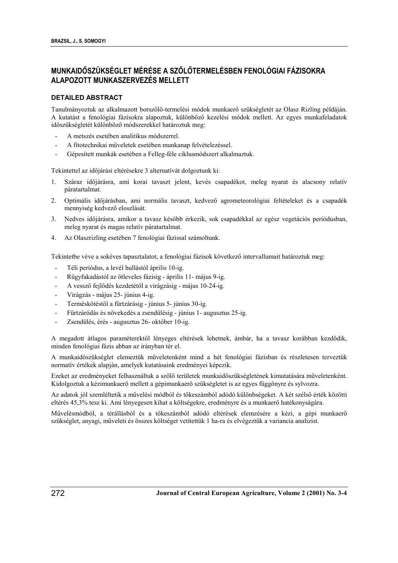## **MUNKAIDŐSZÜKSÉGLET MÉRÉSE A SZŐLŐTERMELÉSBEN FENOLÓGIAI FÁZISOKRA ALAPOZOTT MUNKASZERVEZÉS MELLETT**

## **DETAILED ABSTRACT**

Tanulmányoztuk az alkalmazott borszőlő-termelési módok munkaerő szükségletét az Olasz Rizling példáján. A kutatást a fenológiai fázisokra alapoztuk, különböző kezelési módok mellett. Az egyes munkafeladatok időszükségletét különböző módszerekkel határoztuk meg:

- A metszés esetében analitikus módszerrel.
- A fitotechnikai műveletek esetében munkanap felvételezéssel.
- Gépesített munkák esetében a Felleg-féle ciklusmódszert alkalmaztuk.

Tekintettel az időjárási eltérésekre 3 alternatívát dolgoztunk ki:

- 1. Száraz időjárásra, ami korai tavaszt jelent, kevés csapadékot, meleg nyarat és alacsony relatív páratartalmat.
- 2. Optimális időjárásban, ami normális tavaszt, kedvező agrometeorológiai feltételeket és a csapadék mennyiség kedvező eloszlását.
- 3. Nedves időjárásra, amikor a tavasz később érkezik, sok csapadékkal az egész vegetációs periódusban, meleg nyarat és magas relatív páratartalmat.
- 4. Az Olaszrizling esetében 7 fenológiai fázissal számoltunk.

Tekintetbe véve a sokéves tapasztalatot, a fenológiai fázisok következő intervallumait határoztuk meg:

- Téli periódus, a levél hullástól április 10-ig.
- Rügyfakadástól az ötleveles fázisig április 11- május 9-ig.
- A vessző fejlődés kezdetétől a virágzásig május 10-24-ig.
- Virágzás május 25- június 4-ig.
- Terméskötéstől a fürtzárásig június 5- június 30-ig.
- Fürtzáródás és növekedés a zsendülésig június 1- augusztus 25-ig.
- Zsendülés, érés augusztus 26- október 10-ig.

A megadott átlagos paraméterektől lényeges eltérések lehetnek, ámbár, ha a tavasz korábban kezdődik, minden fenológiai fázis abban az irányban tér el.

A munkaidőszükséglet elemeztük műveletenként mind a hét fenológiai fázisban és részletesen terveztük normatív értékek alapján, amelyek kutatásaink eredményei képezik.

Ezeket az eredményeket felhasználtuk a szőlő területek munkaidőszükségletének kimutatására műveletenként. Kidolgoztuk a kézimunkaerő mellett a gépimunkaerő szükségletet is az egyes függönyre és sylvozra.

Az adatok jól szemléltetik a művelési módból és tőkeszámból adódó különbségeket. A két szélső érték közötti eltérés 45,3% tesz ki. Ami lényegesen kihat a költségekre, eredményre és a munkaerő hatékonyságára.

Művelésmódból, a térállásból és a tőkeszámból adódó eltérések elemzésére a kézi, a gépi munkaerő szükséglet, anyagi, műveleti és összes költséget vetítettük 1 ha-ra és elvégeztük a variancia analizist.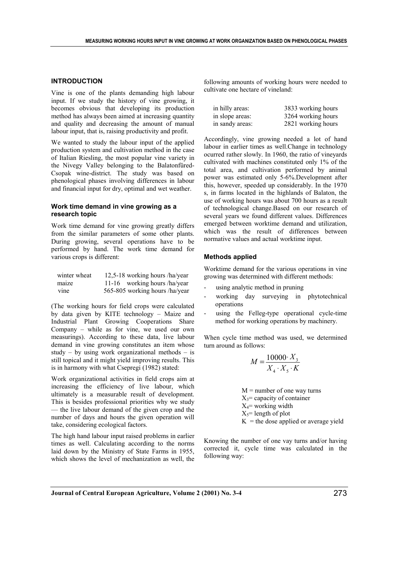#### **INTRODUCTION**

Vine is one of the plants demanding high labour input. If we study the history of vine growing, it becomes obvious that developing its production method has always been aimed at increasing quantity and quality and decreasing the amount of manual labour input, that is, raising productivity and profit.

We wanted to study the labour input of the applied production system and cultivation method in the case of Italian Riesling, the most popular vine variety in the Nivegy Valley belonging to the Balatonfüred-Csopak wine-district. The study was based on phenological phases involving differences in labour and financial input for dry, optimal and wet weather.

#### **Work time demand in vine growing as a research topic**

Work time demand for vine growing greatly differs from the similar parameters of some other plants. During growing, several operations have to be performed by hand. The work time demand for various crops is different:

| winter wheat | 12,5-18 working hours /ha/year |
|--------------|--------------------------------|
| maize        | 11-16 working hours /ha/year   |
| vine         | 565-805 working hours /ha/year |

(The working hours for field crops were calculated by data given by KITE technology – Maize and Industrial Plant Growing Cooperations Share Company – while as for vine, we used our own measurings). According to these data, live labour demand in vine growing constitutes an item whose study – by using work organizational methods – is still topical and it might yield improving results. This is in harmony with what Csepregi (1982) stated:

Work organizational activities in field crops aim at increasing the efficiency of live labour, which ultimately is a measurable result of development. This is besides professional priorities why we study –– the live labour demand of the given crop and the number of days and hours the given operation will take, considering ecological factors.

The high hand labour input raised problems in earlier times as well. Calculating according to the norms laid down by the Ministry of State Farms in 1955, which shows the level of mechanization as well, the

following amounts of working hours were needed to cultivate one hectare of vineland:

| in hilly areas: | 3833 working hours |
|-----------------|--------------------|
| in slope areas: | 3264 working hours |
| in sandy areas: | 2821 working hours |

Accordingly, vine growing needed a lot of hand labour in earlier times as well.Change in technology ocurred rather slowly. In 1960, the ratio of vineyards cultivated with machines constituted only 1% of the total area, and cultivation performed by animal power was estimated only 5-6%.Development after this, however, speeded up considerably. In the 1970 s, in farms located in the highlands of Balaton, the use of working hours was about 700 hours as a result of technological change.Based on our research of several years we found different values. Differences emerged between worktime demand and utilization, which was the result of differences between normative values and actual worktime input.

#### **Methods applied**

Worktime demand for the various operations in vine growing was determined with different methods:

- using analytic method in pruning
- working day surveying in phytotechnical operations
- using the Felleg-type operational cycle-time method for working operations by machinery.

When cycle time method was used, we determined turn around as follows:

$$
M = \frac{10000 \cdot X_3}{X_4 \cdot X_5 \cdot K}
$$

 $M =$  number of one way turns  $X_3$ = capacity of container  $X_4$ = working width  $X_5$ = length of plot  $K =$  the dose applied or average yield

Knowing the number of one vay turns and/or having corrected it, cycle time was calculated in the following way: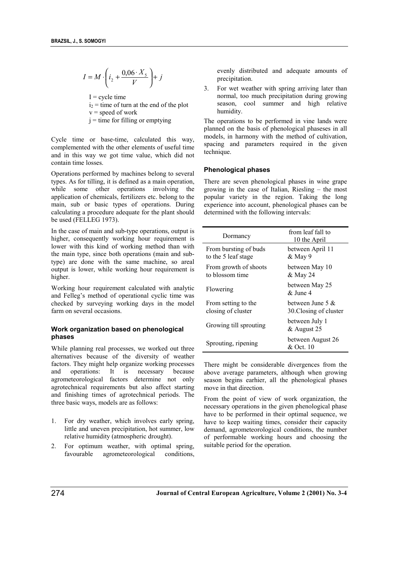$$
I = M \cdot \left(i_2 + \frac{0.06 \cdot X_5}{V}\right) + j
$$

 $I = cycle time$  $i<sub>2</sub>$  = time of turn at the end of the plot  $v = speed of work$  $j =$  time for filling or emptying

Cycle time or base-time, calculated this way, complemented with the other elements of useful time and in this way we got time value, which did not contain time losses.

Operations performed by machines belong to several types. As for tilling, it is defined as a main operation, while some other operations involving the application of chemicals, fertilizers etc. belong to the main, sub or basic types of operations. During calculating a procedure adequate for the plant should be used (FELLEG 1973).

In the case of main and sub-type operations, output is higher, consequently working hour requirement is lower with this kind of working method than with the main type, since both operations (main and subtype) are done with the same machine, so areal output is lower, while working hour requirement is higher.

Working hour requirement calculated with analytic and Felleg's method of operational cyclic time was checked by surveying working days in the model farm on several occasions.

## **Work organization based on phenological phases**

While planning real processes, we worked out three alternatives because of the diversity of weather factors. They might help organize working processes and operations: It is necessary because agrometeorological factors determine not only agrotechnical requirements but also affect starting and finishing times of agrotechnical periods. The three basic ways, models are as follows:

- 1. For dry weather, which involves early spring, little and uneven precipitation, hot summer, low relative humidity (atmospheric drought).
- 2. For optimum weather, with optimal spring, favourable agrometeorological conditions,

evenly distributed and adequate amounts of precipitation.

3. For wet weather with spring arriving later than normal, too much precipitation during growing season, cool summer and high relative humidity.

The operations to be performed in vine lands were planned on the basis of phenological phaseses in all models, in harmony with the method of cultivation, spacing and parameters required in the given technique.

#### **Phenological phases**

There are seven phenological phases in wine grape growing in the case of Italian, Riesling – the most popular variety in the region. Taking the long experience into account, phenological phases can be determined with the following intervals:

| Dormancy                                     | from leaf fall to<br>10 the April             |
|----------------------------------------------|-----------------------------------------------|
| From bursting of buds<br>to the 5 leaf stage | between April 11<br>& May 9                   |
| From growth of shoots<br>to blossom time     | between May 10<br>& May 24                    |
| Flowering                                    | between May 25<br>$\&$ June 4                 |
| From setting to the<br>closing of cluster    | between June 5 $\&$<br>30. Closing of cluster |
| Growing till sprouting                       | between July 1<br>& August 25                 |
| Sprouting, ripening                          | between August 26<br>& Oct. 10                |

There might be considerable divergences from the above average parameters, although when growing season begins earhier, all the phenological phases move in that direction.

From the point of view of work organization, the necessary operations in the given phenological phase have to be performed in their optimal sequence, we have to keep waiting times, consider their capacity demand, agrometeorological conditions, the number of performable working hours and choosing the suitable period for the operation.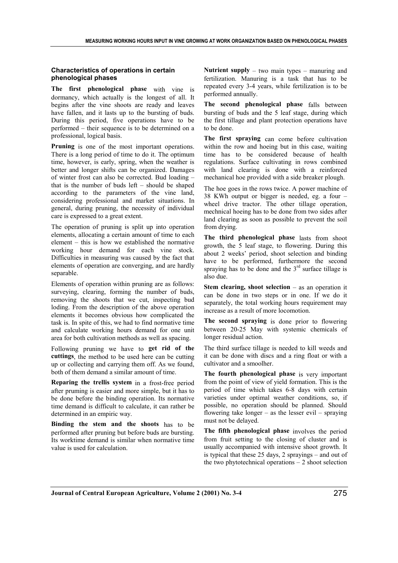#### **Characteristics of operations in certain phenological phases**

**The first phenological phase** with vine is dormancy, which actually is the longest of all. It begins after the vine shoots are ready and leaves have fallen, and it lasts up to the bursting of buds. During this period, five operations have to be performed – their sequence is to be determined on a professional, logical basis.

**Pruning** is one of the most important operations. There is a long period of time to do it. The optimum time, however, is early, spring, when the weather is better and longer shifts can be organized. Damages of winter frost can also be corrected. Bud loading – that is the number of buds left – should be shaped according to the parameters of the vine land, considering professional and market situations. In general, during pruning, the necessity of individual care is expressed to a great extent.

The operation of pruning is split up into operation elements, allocating a certain amount of time to each element – this is how we established the normative working hour demand for each vine stock. Difficulties in measuring was caused by the fact that elements of operation are converging, and are hardly separable.

Elements of operation within pruning are as follows: surveying, clearing, forming the number of buds, removing the shoots that we cut, inspecting bud loding. From the description of the above operation elements it becomes obvious how complicated the task is. In spite of this, we had to find normative time and calculate working hours demand for one unit area for both cultivation methods as well as spacing.

Following pruning we have to **get rid of the cuttings**, the method to be used here can be cutting up or collecting and carrying them off. As we found, both of them demand a similar amount of time.

**Reparing the trellis system** in a frost-free period after pruming is easier and more simple, but it has to be done before the binding operation. Its normative time demand is difficult to calculate, it can rather be determined in an empiric way.

**Binding the stem and the shoots** has to be performed after pruning but before buds are bursting. Its worktime demand is similar when normative time value is used for calculation.

**Nutrient supply** – two main types – manuring and fertilization. Manuring is a task that has to be repeated every 3-4 years, while fertilization is to be performed annually.

**The second phenological phase** falls between bursting of buds and the 5 leaf stage, during which the first tillage and plant protection operations have to be done.

**The first spraying** can come before cultivation within the row and hoeing but in this case, waiting time has to be considered because of health regulations. Surface cultivating in rows combined with land clearing is done with a reinforced mechanical hoe provided with a side breaker plough.

The hoe goes in the rows twice. A power machine of 38 KWh output or bigger is needed, eg. a four – wheel drive tractor. The other tillage operation, mechnical hoeing has to be done from two sides after land clearing as soon as possible to prevent the soil from drying.

**The third phenological phase** lasts from shoot growth, the 5 leaf stage, to flowering. During this about 2 weeks' period, shoot selection and binding have to be performed, furthermore the second spraying has to be done and the  $3<sup>rd</sup>$  surface tillage is also due.

**Stem clearing, shoot selection** – as an operation it can be done in two steps or in one. If we do it separately, the total working hours requirement may increase as a result of more locomotion.

**The second spraying** is done prior to flowering between 20-25 May with systemic chemicals of longer residual action.

The third surface tillage is needed to kill weeds and it can be done with discs and a ring float or with a cultivator and a smoolher.

**The fourth phenological phase** is very important from the point of view of yield formation. This is the period of time which takes 6-8 days with certain varieties under optimal weather conditions, so, if possible, no operation should be planned. Should flowering take longer – as the lesser evil – spraying must not be delayed.

**The fifth phenological phase** involves the period from fruit setting to the closing of cluster and is usually accompanied with intensive shoot growth. It is typical that these 25 days, 2 sprayings – and out of the two phytotechnical operations  $-2$  shoot selection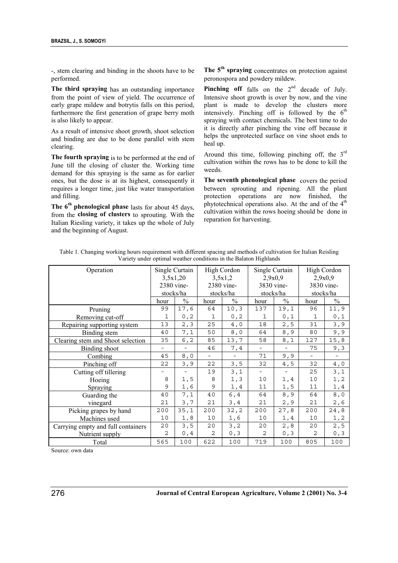-, stem clearing and binding in the shoots have to be performed.

**The third spraying** has an outstanding importance from the point of view of yield. The occurrence of early grape mildew and botrytis falls on this period, furthermore the first generation of grape berry moth is also likely to appear.

As a result of intensive shoot growth, shoot selection and binding are due to be done parallel with stem clearing.

**The fourth spraying** is to be performed at the end of June till the closing of cluster the. Working time demand for this spraying is the same as for earlier ones, but the dose is at its highest, consequently it requires a longer time, just like water transportation and filling.

**The 6th phenological phase** lasts for about 45 days, from the **closing of clusters** to sprouting. With the Italian Riesling variety, it takes up the whole of July and the beginning of August.

**The 5th spraying** concentrates on protection against peronospora and powdery mildew.

**Pinching off** falls on the  $2<sup>nd</sup>$  decade of July. Intensive shoot growth is over by now, and the vine plant is made to develop the clusters more intensively. Pinching off is followed by the  $6<sup>th</sup>$ spraying with contact chemicals. The best time to do it is directly after pinching the vine off because it helps the unprotected surface on vine shoot ends to heal up.

Around this time, following pinching off, the  $3<sup>rd</sup>$ cultivation within the rows has to be done to kill the weeds.

**The seventh phenological phase** covers the period between sprouting and ripening. All the plant protection operations are now finished, the phytotechnical operations also. At the and of the  $4<sup>th</sup>$ cultivation within the rows hoeing should be done in reparation for harvesting.

Table 1. Changing working hours requirement with different spacing and methods of cultivation for Italian Reisling Variety under optimal weather conditions in the Balaton Highlands

| Operation                          |                          | Single Curtain<br>3, 5x1, 20<br>2380 vine-<br>stocks/ha |                          | High Cordon<br>Single Curtain<br>2,9x0,9<br>3, 5x1, 2<br>2380 vine-<br>3830 vine-<br>stocks/ha<br>stocks/ha |                          |                          | High Cordon<br>2,9x0,9<br>3830 vine-<br>stocks/ha |               |
|------------------------------------|--------------------------|---------------------------------------------------------|--------------------------|-------------------------------------------------------------------------------------------------------------|--------------------------|--------------------------|---------------------------------------------------|---------------|
|                                    | hour                     | $\frac{0}{0}$                                           | hour                     | $\frac{0}{0}$                                                                                               | hour                     | $\frac{0}{0}$            | hour                                              | $\frac{0}{0}$ |
| Pruning                            | 99                       | 17,6                                                    | 64                       | 10, 3                                                                                                       | 137                      | 19,1                     | 96                                                | 11,9          |
| Removing cut-off                   | 1                        | 0, 2                                                    | 1                        | 0, 2                                                                                                        | 1                        | 0,1                      | $\mathbf{1}$                                      | 0,1           |
| Repairing supporting system        | 13                       | 2, 3                                                    | 25                       | 4,0                                                                                                         | 18                       | 2, 5                     | 31                                                | 3, 9          |
| Binding stem                       | 40                       | 7,1                                                     | 50                       | 8,0                                                                                                         | 64                       | 8, 9                     | 80                                                | 9, 9          |
| Clearing stem and Shoot selection  | 35                       | 6, 2                                                    | 85                       | 13,7                                                                                                        | 58                       | 8,1                      | 127                                               | 15, 8         |
| Binding shoot                      | $\overline{\phantom{0}}$ | $\overline{\phantom{0}}$                                | 46                       | 7,4                                                                                                         | $\overline{\phantom{0}}$ | $\overline{\phantom{a}}$ | 75                                                | 9, 3          |
| Combing                            | 45                       | 8,0                                                     | $\overline{\phantom{0}}$ | $\overline{\phantom{a}}$                                                                                    | 71                       | 9, 9                     | $\overline{\phantom{0}}$                          | $\equiv$      |
| Pinching off                       | 22                       | 3, 9                                                    | 22                       | 3, 5                                                                                                        | 32                       | 4,5                      | 32                                                | 4,0           |
| Cutting off tillering              |                          | $\qquad \qquad -$                                       | 19                       | 3,1                                                                                                         | $\overline{\phantom{0}}$ | $\overline{\phantom{a}}$ | 25                                                | 3,1           |
| Hoeing                             | 8                        | 1,5                                                     | 8                        | 1,3                                                                                                         | 10                       | 1,4                      | 10                                                | 1, 2          |
| <b>Spraying</b>                    | 9                        | 1,6                                                     | 9                        | 1,4                                                                                                         | 11                       | 1,5                      | 11                                                | 1,4           |
| Guarding the                       | 40                       | 7,1                                                     | 40                       | 6, 4                                                                                                        | 64                       | 8,9                      | 64                                                | 8,0           |
| vinegard                           | 21                       | 3,7                                                     | 21                       | 3, 4                                                                                                        | 21                       | 2, 9                     | 21                                                | 2,6           |
| Picking grapes by hand             | 200                      | 35,1                                                    | 200                      | 32, 2                                                                                                       | 200                      | 27,8                     | 200                                               | 24,8          |
| Machines used                      | 10                       | 1,8                                                     | 10                       | 1,6                                                                                                         | 10                       | 1,4                      | 10                                                | 1, 2          |
| Carrying empty and full containers | 20                       | 3,5                                                     | 20                       | 3, 2                                                                                                        | 20                       | 2,8                      | 20                                                | 2, 5          |
| Nutrient supply                    | 2                        | 0, 4                                                    | 2                        | 0, 3                                                                                                        | 2                        | 0, 3                     | 2                                                 | 0, 3          |
| Total                              | 565                      | 100                                                     | 622                      | 100                                                                                                         | 719                      | 100                      | 805                                               | 100           |

Source: own data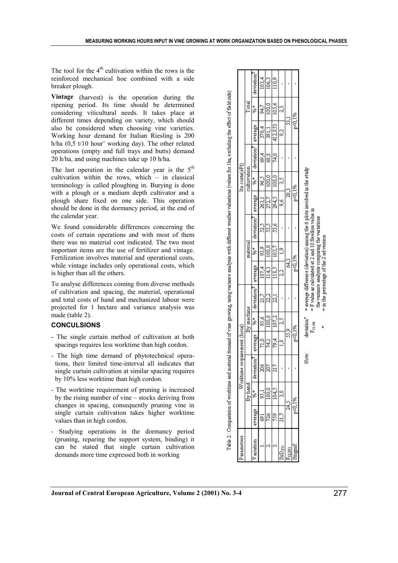The tool for the  $4<sup>th</sup>$  cultivation within the rows is the reinforced mechanical hoe combined with a side breaker plough.

**Vintage** (harvest) is the operation during the ripening period. Its time should be determined considering viticultural needs. It takes place at different times depending on variety, which should also be considered when choosing vine varieties. Working hour demand for Italian Riesling is 200 h/ha  $(0.5 \t1/10 \text{ hour}^3 \text{ working day})$ . The other related operations (empty and full trays and butts) demand 20 h/ha, and using machines take up 10 h/ha.

The last operation in the calendar year is the  $5<sup>th</sup>$ cultivation within the rows, which – in classical terminology is called ploughing in. Burying is done with a plough or a medium depth cultivator and a plough share fixed on one side. This operation should be done in the dormancy period, at the end of the calendar year.

We found considerable differences concerning the costs of certain operations and with most of them there was no material cost indicated. The two most important items are the use of fertilizer and vintage. Fertilization involves material and operational costs, while vintage includes only operational costs, which is higher than all the others.

To analyse differences coming from diverse methods of cultivation and spacing, the material, operational and total costs of hand and mechanized labour were projected for 1 hectare and variance analysis was made (table 2).

## **CONCULSIONS**

- The single curtain method of cultivation at both spacings requires less worktime than high cordon.
- The high time demand of phytotechnical operations, their limited time-interval all indicates that single curtain cultivation at similar spacing requires by 10% less worktime than high cordon.
- The worktime requirement of pruning is increased by the rising number of vine – stocks deriving from changes in spacing, consequently pruning vine in single curtain cultivation takes higher worktime values than in high cordon.
- Studying operations in the dormancy period (pruning, reparing the support system, binding) it can be stated that single curtain cultivation demands more time expressed both in working

| By hand                                       |                      | equirement (hour) |                        |         |                |                        |         | Its costs(eFt) |                        |                 |       |                        |
|-----------------------------------------------|----------------------|-------------------|------------------------|---------|----------------|------------------------|---------|----------------|------------------------|-----------------|-------|------------------------|
|                                               |                      | By machine        |                        |         | material       |                        |         | cultuvation    |                        |                 | Total |                        |
| deviati<br>ž<br>average<br>ariation           | average<br>$\vec{B}$ | ҉                 | deviation <sup>1</sup> | average | *<br>%         | deviation <sup>1</sup> | average | *\$            | deviation <sup>1</sup> | average         | ž     | deviation <sup>1</sup> |
| 206<br>5<br>$\overline{6}$                    | 71.0                 | 95.6              | 21.7                   | 107.4   | 93.9           | 52.5                   | 263.1   | š              | 69.4                   | 370.4           | 94.7  | 103.4                  |
| 207<br>100.0<br>26                            | 군                    | 100.0             | 22                     | 114.3   | 100.0          | â                      | 272,7   | 100.0          | 68.8                   | 391,1           | 100.0 | 106.3                  |
| 217<br>104,5<br>29                            | 79,4                 | 107,2             | ផ                      | 118,5   | 103,7          | žé                     | 294.5   | 108,0          | 74.0                   | 412,853         | 105,6 | 110.9                  |
| $\frac{1}{2}$<br>21,7<br>$\mathrm{SLD}_{5\%}$ | 1.8                  | ă                 |                        | 22      | $\frac{1}{11}$ |                        | 9.6     | S              |                        | 9.2             | 23    |                        |
| 24.5<br>330)                                  |                      | 55.9              |                        | 343     |                |                        | 28.3    |                |                        | $\overline{23}$ |       |                        |
| p<0,1%<br>Szignif                             |                      | p<0,1%            |                        | p<0,1%  |                |                        | p<0,1%  |                |                        | p<0,1%          |       |                        |